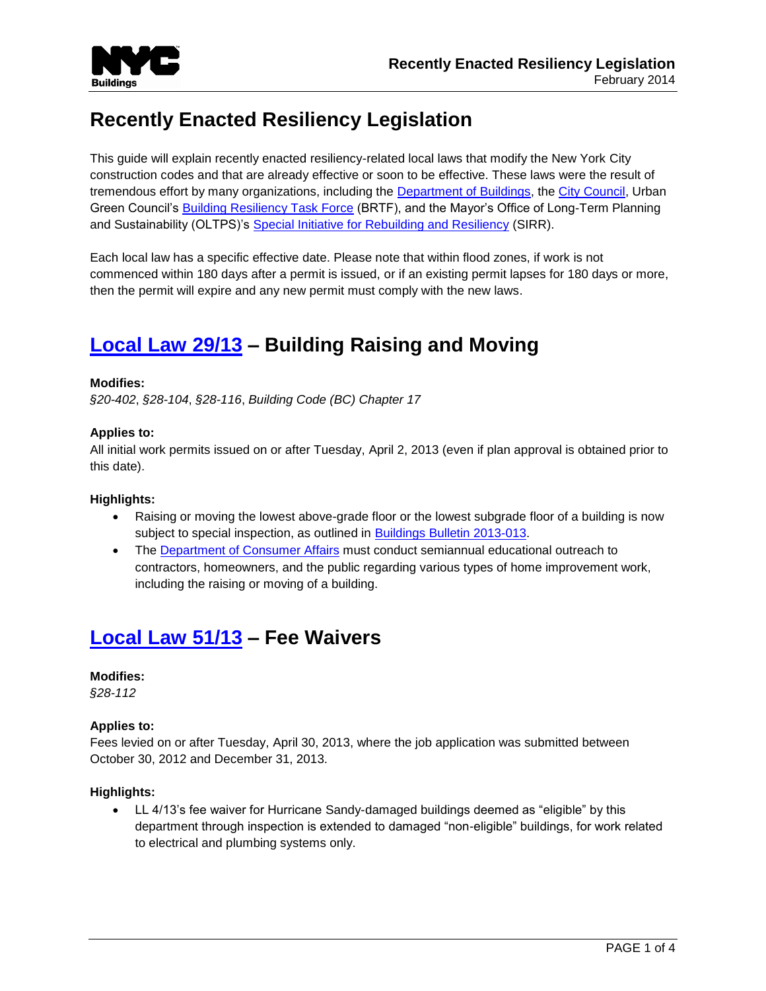

# **Recently Enacted Resiliency Legislation**

This guide will explain recently enacted resiliency-related local laws that modify the New York City construction codes and that are already effective or soon to be effective. These laws were the result of tremendous effort by many organizations, including the [Department of Buildings,](http://www1.nyc.gov/site/buildings/index.page) the [City Council,](http://council.nyc.gov/html/home/home.shtml) Urban Green Council's **Building Resiliency Task Force (BRTF)**, and the Mayor's Office of Long-Term Planning and Sustainability (OLTPS)'s [Special Initiative for Rebuilding and Resiliency](http://www.nyc.gov/html/sirr/html/report/report.shtml) (SIRR).

Each local law has a specific effective date. Please note that within flood zones, if work is not commenced within 180 days after a permit is issued, or if an existing permit lapses for 180 days or more, then the permit will expire and any new permit must comply with the new laws.

# **[Local Law 29/13](http://www1.nyc.gov/assets/buildings/pdf/ll29of2013.pdf) – Building Raising and Moving**

## **Modifies:**

*§20-402*, *§28-104*, *§28-116*, *Building Code (BC) Chapter 17*

## **Applies to:**

All initial work permits issued on or after Tuesday, April 2, 2013 (even if plan approval is obtained prior to this date).

#### **Highlights:**

- Raising or moving the lowest above-grade floor or the lowest subgrade floor of a building is now subject to special inspection, as outlined in [Buildings Bulletin 2013-013.](http://www1.nyc.gov/assets/buildings/bldgs_bulletins/bb_2013-013.pdf)
- The [Department of Consumer Affairs](http://www.nyc.gov/html/dca/html/home/home.shtml) must conduct semiannual educational outreach to contractors, homeowners, and the public regarding various types of home improvement work, including the raising or moving of a building.

## **[Local Law 51/13](http://www1.nyc.gov/assets/buildings/pdf/ll51of%202013.pdf) – Fee Waivers**

#### **Modifies:**

*§28-112*

## **Applies to:**

Fees levied on or after Tuesday, April 30, 2013, where the job application was submitted between October 30, 2012 and December 31, 2013.

#### **Highlights:**

 LL 4/13's fee waiver for Hurricane Sandy-damaged buildings deemed as "eligible" by this department through inspection is extended to damaged "non-eligible" buildings, for work related to electrical and plumbing systems only.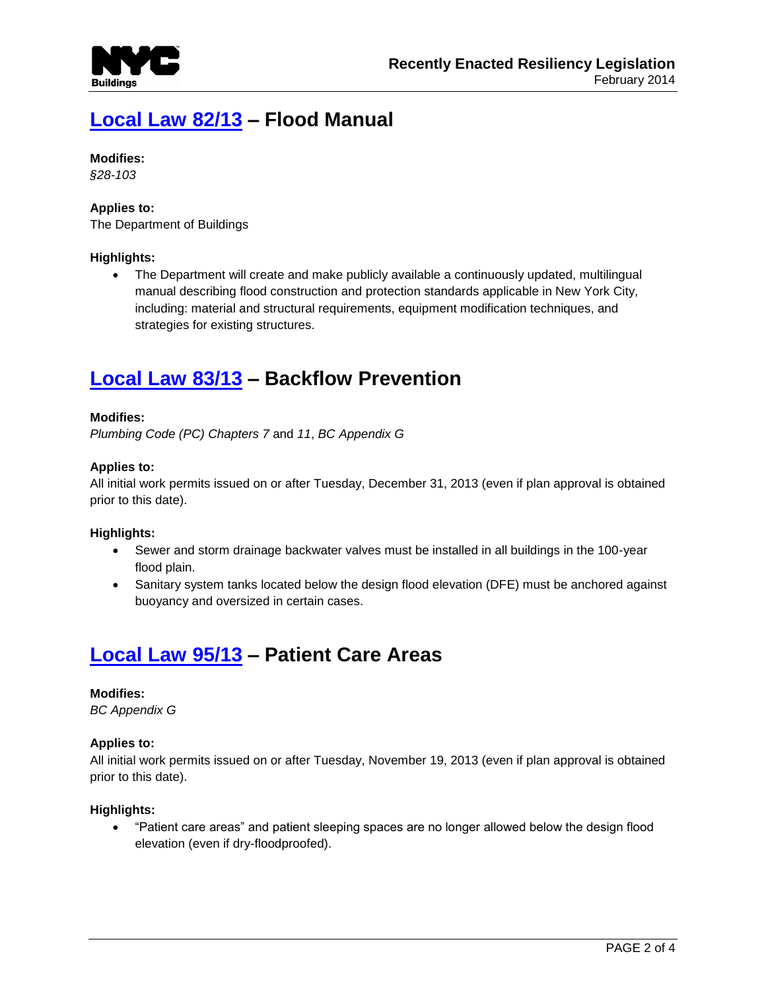

# **[Local Law 82/13](http://www1.nyc.gov/assets/buildings/pdf/ll82of2013.pdf) – Flood Manual**

## **Modifies:**

*§28-103*

## **Applies to:**

The Department of Buildings

## **Highlights:**

 The Department will create and make publicly available a continuously updated, multilingual manual describing flood construction and protection standards applicable in New York City, including: material and structural requirements, equipment modification techniques, and strategies for existing structures.

## **[Local Law 83/13](http://www1.nyc.gov/assets/buildings/pdf/ll83of2013.pdf) – Backflow Prevention**

## **Modifies:**

*Plumbing Code (PC) Chapters 7* and *11*, *BC Appendix G*

## **Applies to:**

All initial work permits issued on or after Tuesday, December 31, 2013 (even if plan approval is obtained prior to this date).

#### **Highlights:**

- Sewer and storm drainage backwater valves must be installed in all buildings in the 100-year flood plain.
- Sanitary system tanks located below the design flood elevation (DFE) must be anchored against buoyancy and oversized in certain cases.

## **[Local Law 95/13](http://www1.nyc.gov/assets/buildings/pdf/ll95of2013.pdf) – Patient Care Areas**

## **Modifies:**

*BC Appendix G*

#### **Applies to:**

All initial work permits issued on or after Tuesday, November 19, 2013 (even if plan approval is obtained prior to this date).

#### **Highlights:**

 "Patient care areas" and patient sleeping spaces are no longer allowed below the design flood elevation (even if dry-floodproofed).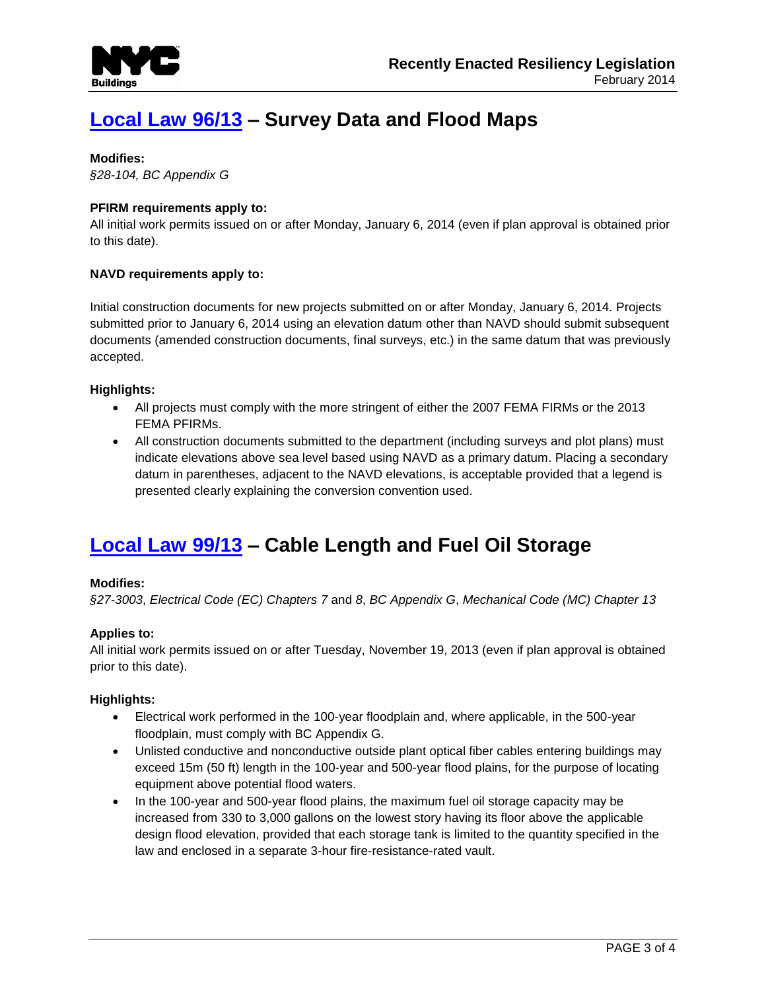

# **[Local Law 96/13](http://www1.nyc.gov/assets/buildings/pdf/ll96of2013.pdf) – Survey Data and Flood Maps**

#### **Modifies:**

*§28-104, BC Appendix G*

## **PFIRM requirements apply to:**

All initial work permits issued on or after Monday, January 6, 2014 (even if plan approval is obtained prior to this date).

## **NAVD requirements apply to:**

Initial construction documents for new projects submitted on or after Monday, January 6, 2014. Projects submitted prior to January 6, 2014 using an elevation datum other than NAVD should submit subsequent documents (amended construction documents, final surveys, etc.) in the same datum that was previously accepted.

## **Highlights:**

- All projects must comply with the more stringent of either the 2007 FEMA FIRMs or the 2013 FEMA PFIRMs.
- All construction documents submitted to the department (including surveys and plot plans) must indicate elevations above sea level based using NAVD as a primary datum. Placing a secondary datum in parentheses, adjacent to the NAVD elevations, is acceptable provided that a legend is presented clearly explaining the conversion convention used.

## **[Local Law 99/13](http://www1.nyc.gov/assets/buildings/pdf/ll99of2013.pdf) – Cable Length and Fuel Oil Storage**

#### **Modifies:**

*§27-3003*, *Electrical Code (EC) Chapters 7* and *8*, *BC Appendix G*, *Mechanical Code (MC) Chapter 13*

#### **Applies to:**

All initial work permits issued on or after Tuesday, November 19, 2013 (even if plan approval is obtained prior to this date).

#### **Highlights:**

- Electrical work performed in the 100-year floodplain and, where applicable, in the 500-year floodplain, must comply with BC Appendix G.
- Unlisted conductive and nonconductive outside plant optical fiber cables entering buildings may exceed 15m (50 ft) length in the 100-year and 500-year flood plains, for the purpose of locating equipment above potential flood waters.
- In the 100-year and 500-year flood plains, the maximum fuel oil storage capacity may be increased from 330 to 3,000 gallons on the lowest story having its floor above the applicable design flood elevation, provided that each storage tank is limited to the quantity specified in the law and enclosed in a separate 3-hour fire-resistance-rated vault.